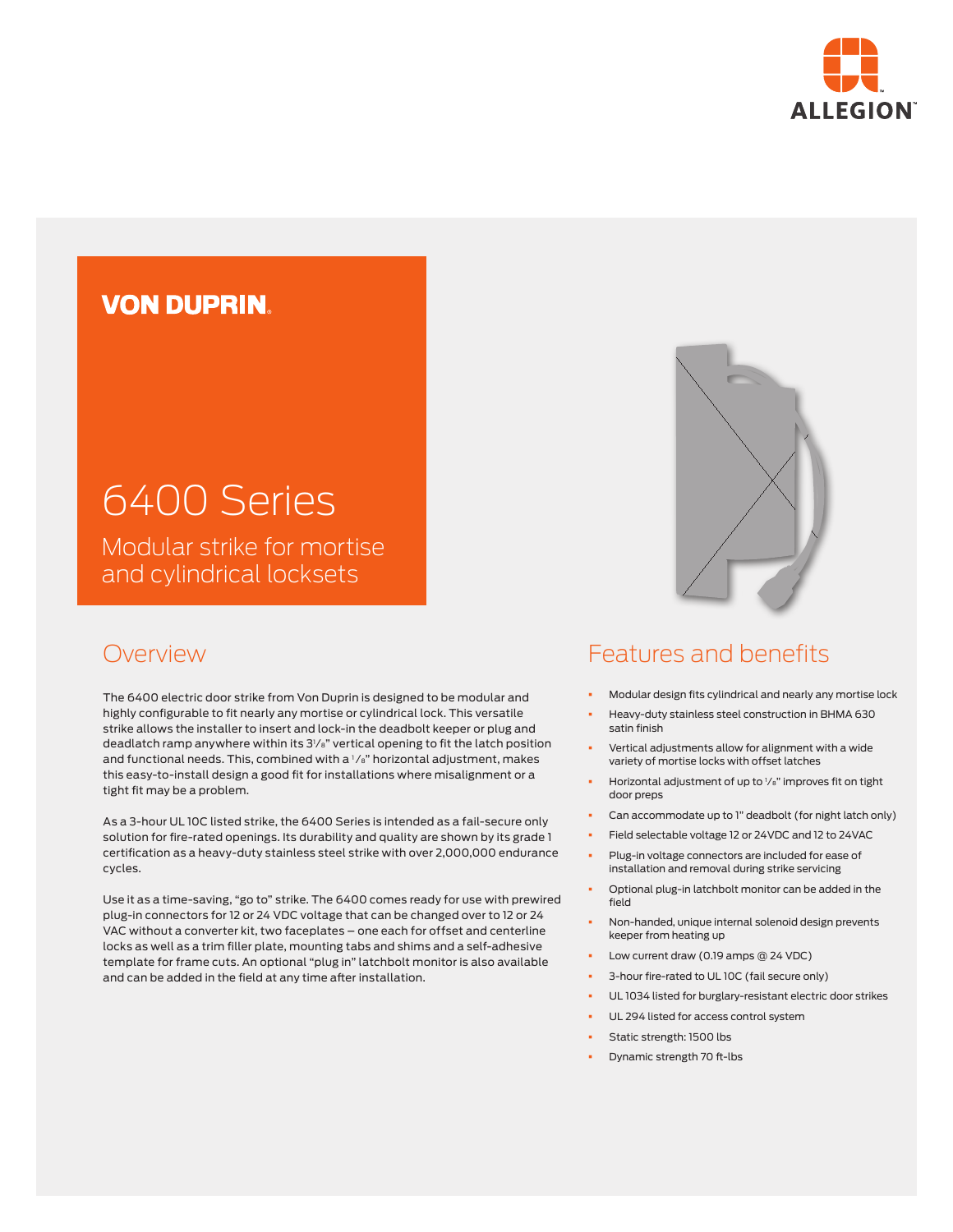

# **VON DUPRIN**

# 6400 Series

Modular strike for mortise and cylindrical locksets

### Overview

The 6400 electric door strike from Von Duprin is designed to be modular and highly configurable to fit nearly any mortise or cylindrical lock. This versatile strike allows the installer to insert and lock-in the deadbolt keeper or plug and deadlatch ramp anywhere within its 31 ⁄8" vertical opening to fit the latch position and functional needs. This, combined with a 1/8" horizontal adjustment, makes this easy-to-install design a good fit for installations where misalignment or a tight fit may be a problem.

As a 3-hour UL 10C listed strike, the 6400 Series is intended as a fail-secure only solution for fire-rated openings. Its durability and quality are shown by its grade 1 certification as a heavy-duty stainless steel strike with over 2,000,000 endurance cycles.

Use it as a time-saving, "go to" strike. The 6400 comes ready for use with prewired plug-in connectors for 12 or 24 VDC voltage that can be changed over to 12 or 24 VAC without a converter kit, two faceplates – one each for offset and centerline locks as well as a trim filler plate, mounting tabs and shims and a self-adhesive template for frame cuts. An optional "plug in" latchbolt monitor is also available and can be added in the field at any time after installation.



## Features and benefits

- § Modular design fits cylindrical and nearly any mortise lock
- § Heavy-duty stainless steel construction in BHMA 630 satin finish
- § Vertical adjustments allow for alignment with a wide variety of mortise locks with offset latches
- **•** Horizontal adjustment of up to 1/8" improves fit on tight door preps
- Can accommodate up to 1" deadbolt (for night latch only)
- § Field selectable voltage 12 or 24VDC and 12 to 24VAC
- **•** Plug-in voltage connectors are included for ease of installation and removal during strike servicing
- § Optional plug-in latchbolt monitor can be added in the field
- § Non-handed, unique internal solenoid design prevents keeper from heating up
- § Low current draw (0.19 amps @ 24 VDC)
- § 3-hour fire-rated to UL 10C (fail secure only)
- UL 1034 listed for burglary-resistant electric door strikes
- UL 294 listed for access control system
- § Static strength: 1500 lbs
- § Dynamic strength 70 ft-lbs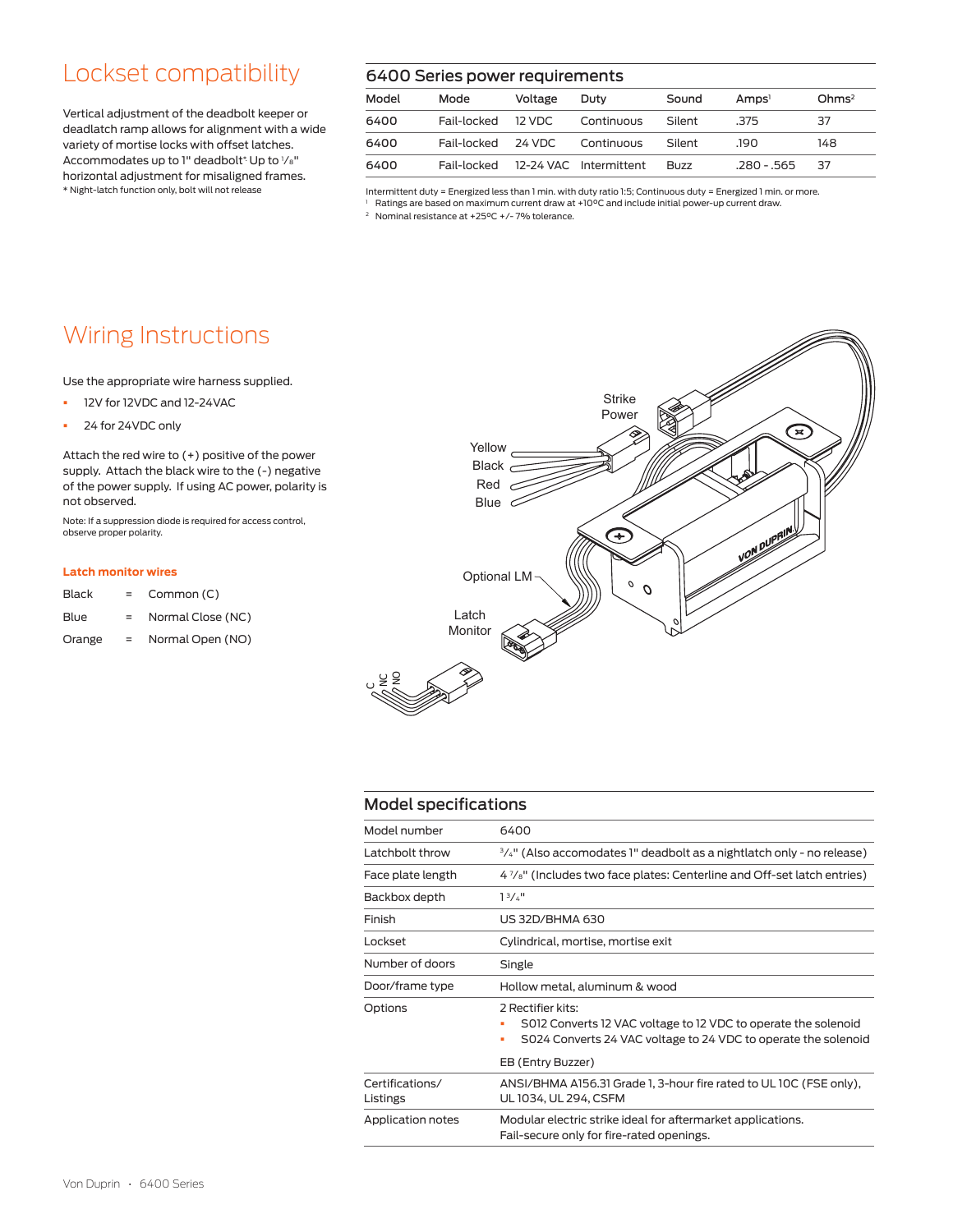# Lockset compatibility

Vertical adjustment of the deadbolt keeper or deadlatch ramp allows for alignment with a wide variety of mortise locks with offset latches. Accommodates up to 1" deadbolt\* Up to 1/8" horizontal adjustment for misaligned frames. \* Night-latch function only, bolt will not release

### 6400 Series power requirements

| Model | Mode               | Voltage | Duty                               | Sound       | Amps <sup>1</sup> | Ohms <sup>2</sup> |
|-------|--------------------|---------|------------------------------------|-------------|-------------------|-------------------|
| 6400  | Fail-locked 12 VDC |         | Continuous                         | Silent      | - 375             | 37                |
| 6400  | Fail-locked 24 VDC |         | Continuous                         | Silent      | .190.             | 148               |
| 6400  |                    |         | Fail-locked 12-24 VAC Intermittent | <b>Buzz</b> | .280 - .565       | 37                |

Intermittent duty = Energized less than 1 min. with duty ratio 1:5; Continuous duty = Energized 1 min. or more.

<sup>1</sup> Ratings are based on maximum current draw at +10°C and include initial power-up current draw.

<sup>2</sup> Nominal resistance at +25°C +/- 7% tolerance.

# Wiring Instructions

Use the appropriate wire harness supplied.

- § 12V for 12VDC and 12-24VAC
- 24 for 24VDC only

Attach the red wire to (+) positive of the power supply. Attach the black wire to the (-) negative of the power supply. If using AC power, polarity is not observed.

Note: If a suppression diode is required for access control, observe proper polarity.

#### **Latch monitor wires**

| Common (C)<br><b>Black</b> |  |
|----------------------------|--|
|                            |  |

- Blue = Normal Close (NC)
- Orange = Normal Open (NO)



### Model specifications

g  $\bm\cup$ 

| Model number                | 6400                                                                                                                                                                            |  |  |
|-----------------------------|---------------------------------------------------------------------------------------------------------------------------------------------------------------------------------|--|--|
| Latchbolt throw             | <sup>3/4"</sup> (Also accomodates 1" deadbolt as a nightlatch only - no release)                                                                                                |  |  |
| Face plate length           | 4 $\frac{7}{8}$ " (Includes two face plates: Centerline and Off-set latch entries)                                                                                              |  |  |
| Backbox depth               | 13/4"                                                                                                                                                                           |  |  |
| Finish                      | <b>US 32D/BHMA 630</b>                                                                                                                                                          |  |  |
| I ockset                    | Cylindrical, mortise, mortise exit                                                                                                                                              |  |  |
| Number of doors             | Single                                                                                                                                                                          |  |  |
| Door/frame type             | Hollow metal, aluminum & wood                                                                                                                                                   |  |  |
| Options                     | 2 Rectifier kits:<br>S012 Converts 12 VAC voltage to 12 VDC to operate the solenoid<br>S024 Converts 24 VAC voltage to 24 VDC to operate the solenoid<br>٠<br>EB (Entry Buzzer) |  |  |
| Certifications/<br>Listings | ANSI/BHMA A156.31 Grade 1, 3-hour fire rated to UL 10C (FSE only),<br>UL 1034, UL 294, CSFM                                                                                     |  |  |
| Application notes           | Modular electric strike ideal for aftermarket applications.<br>Fail-secure only for fire-rated openings.                                                                        |  |  |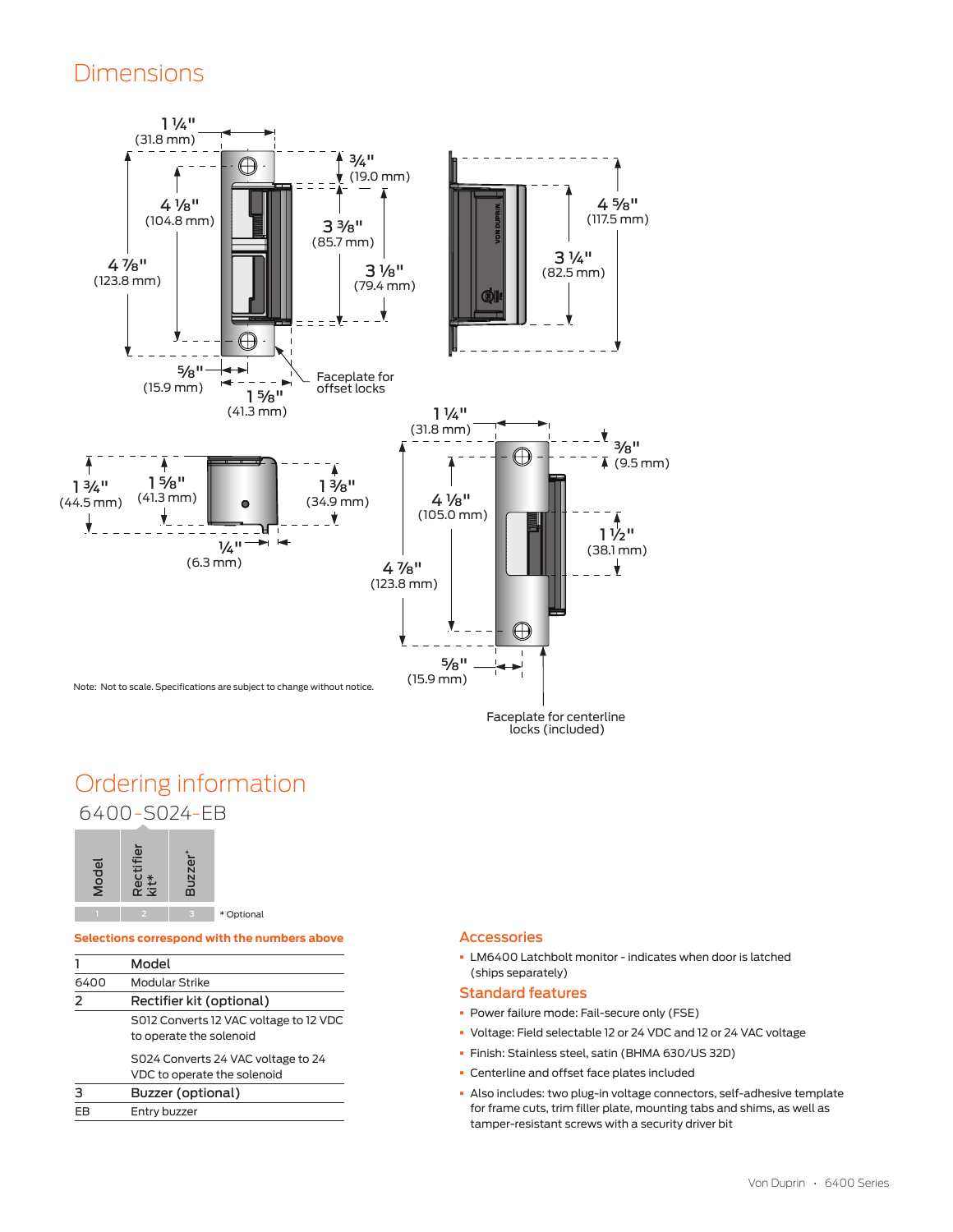### Dimensions



Faceplate for centerline locks (included)

### Ordering information 6400-S024-EB



#### **Selections correspond with the numbers above**

| Model | Rectifier<br>kit*                      | <b>Buzzer</b>     |                                              |  |  |  |
|-------|----------------------------------------|-------------------|----------------------------------------------|--|--|--|
|       |                                        |                   | * Optional                                   |  |  |  |
|       |                                        |                   | Selections correspond with the numbers above |  |  |  |
|       |                                        | Model             |                                              |  |  |  |
| 6400  | Modular Strike                         |                   |                                              |  |  |  |
| 2     | Rectifier kit (optional)               |                   |                                              |  |  |  |
|       | S012 Converts 12 VAC voltage to 12 VDC |                   |                                              |  |  |  |
|       | to operate the solenoid                |                   |                                              |  |  |  |
|       | S024 Converts 24 VAC voltage to 24     |                   |                                              |  |  |  |
|       | VDC to operate the solenoid            |                   |                                              |  |  |  |
|       |                                        | Buzzer (optional) |                                              |  |  |  |
| EВ    | Entry buzzer                           |                   |                                              |  |  |  |

#### Accessories

§ LM6400 Latchbolt monitor - indicates when door is latched (ships separately)

### Standard features

- § Power failure mode: Fail-secure only (FSE)
- § Voltage: Field selectable 12 or 24 VDC and 12 or 24 VAC voltage
- § Finish: Stainless steel, satin (BHMA 630/US 32D)
- § Centerline and offset face plates included
- § Also includes: two plug-in voltage connectors, self-adhesive template for frame cuts, trim filler plate, mounting tabs and shims, as well as tamper-resistant screws with a security driver bit